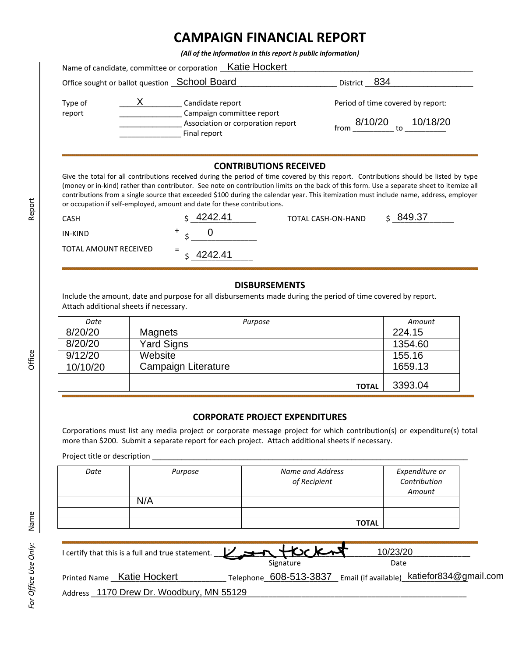## **CAMPAIGN FINANCIAL REPORT**

*(All of the information in this report is public information)*

|                   |                                                                                                    | Name of candidate, committee or corporation _Katie Hockert |              |
|-------------------|----------------------------------------------------------------------------------------------------|------------------------------------------------------------|--------------|
|                   |                                                                                                    | Office sought or ballot question <b>School Board</b>       | District 834 |
| Type of<br>report | Candidate report<br>Campaign committee report<br>Association or corporation report<br>Final report | Period of time covered by report:                          |              |
|                   |                                                                                                    | 8/10/20<br>10/18/20<br>from<br>tο                          |              |

## **CONTRIBUTIONS RECEIVED**

Give the total for all contributions received during the period of time covered by this report. Contributions should be listed by type (money or in-kind) rather than contributor. See note on contribution limits on the back of this form. Use a separate sheet to itemize all contributions from a single source that exceeded \$100 during the calendar year. This itemization must include name, address, employer or occupation if self-employed, amount and date for these contributions.

| CASH                  | 4242.41        | TOTAL CASH-ON-HAND | 849.37 |
|-----------------------|----------------|--------------------|--------|
| IN-KIND               |                |                    |        |
| TOTAL AMOUNT RECEIVED | $=$<br>4242.41 |                    |        |

## **DISBURSEMENTS**

Include the amount, date and purpose for all disbursements made during the period of time covered by report. Attach additional sheets if necessary.

| Date     | Purpose             | Amount  |
|----------|---------------------|---------|
| 8/20/20  | Magnets             | 224.15  |
| 8/20/20  | <b>Yard Signs</b>   | 1354.60 |
| 9/12/20  | Website             | 155.16  |
| 10/10/20 | Campaign Literature | 1659.13 |
|          | <b>TOTAL</b>        | 3393.04 |

## **CORPORATE PROJECT EXPENDITURES**

Corporations must list any media project or corporate message project for which contribution(s) or expenditure(s) total more than \$200. Submit a separate report for each project. Attach additional sheets if necessary.

Project title or description \_

| Date | Purpose | Name and Address<br>of Recipient | Expenditure or<br>Contribution<br>Amount |
|------|---------|----------------------------------|------------------------------------------|
|      | N/A     |                                  |                                          |
|      |         |                                  |                                          |
|      |         | <b>TOTAL</b>                     |                                          |

| I certify that this is a full and true statement. V RAVER |           | 10/23/20                                                          |  |
|-----------------------------------------------------------|-----------|-------------------------------------------------------------------|--|
|                                                           | Signature | Date                                                              |  |
| Printed Name Katie Hockert                                |           | Telephone 608-513-3837 Email (if available) katiefor834@gmail.com |  |
| Address 1170 Drew Dr. Woodbury, MN 55129                  |           |                                                                   |  |

Report

Office